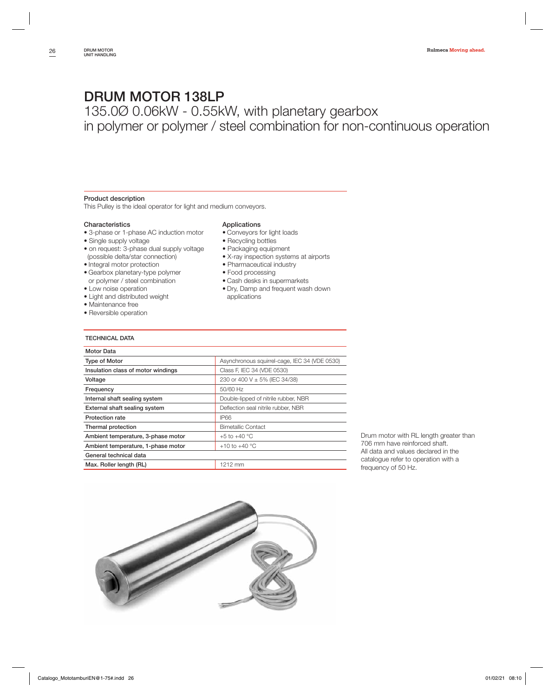135.0Ø 0.06kW - 0.55kW, with planetary gearbox in polymer or polymer / steel combination for non-continuous operation

### **Product description**

This Pulley is the ideal operator for light and medium conveyors.

### **Characteristics**

- 3-phase or 1-phase AC induction motor
- Single supply voltage
- on request: 3-phase dual supply voltage (possible delta/star connection)
- Integral motor protection
- Gearbox planetary-type polymer or polymer / steel combination
- Low noise operation
- Light and distributed weight
- Maintenance free
- Reversible operation

### **Applications**

- Conveyors for light loads
- Recycling bottles
- Packaging equipment
- X-ray inspection systems at airports
- Pharmaceutical industry
- Food processing
- Cash desks in supermarkets
- Dry, Damp and frequent wash down applications

### **TECHNICAL DATA**

| Motor Data                         |                                               |
|------------------------------------|-----------------------------------------------|
| <b>Type of Motor</b>               | Asynchronous squirrel-cage, IEC 34 (VDE 0530) |
| Insulation class of motor windings | Class F, IEC 34 (VDE 0530)                    |
| Voltage                            | 230 or 400 V ± 5% (IEC 34/38)                 |
| Frequency                          | 50/60 Hz                                      |
| Internal shaft sealing system      | Double-lipped of nitrile rubber, NBR          |
| External shaft sealing system      | Deflection seal nitrile rubber, NBR           |
| <b>Protection rate</b>             | <b>IP66</b>                                   |
| Thermal protection                 | <b>Bimetallic Contact</b>                     |
| Ambient temperature, 3-phase motor | +5 to +40 $^{\circ}$ C                        |
| Ambient temperature, 1-phase motor | +10 to +40 $^{\circ}$ C                       |
| General technical data             |                                               |
| Max. Roller length (RL)            | 1212 mm                                       |
|                                    |                                               |

Drum motor with RL length greater than 706 mm have reinforced shaft. All data and values declared in the catalogue refer to operation with a frequency of 50 Hz.

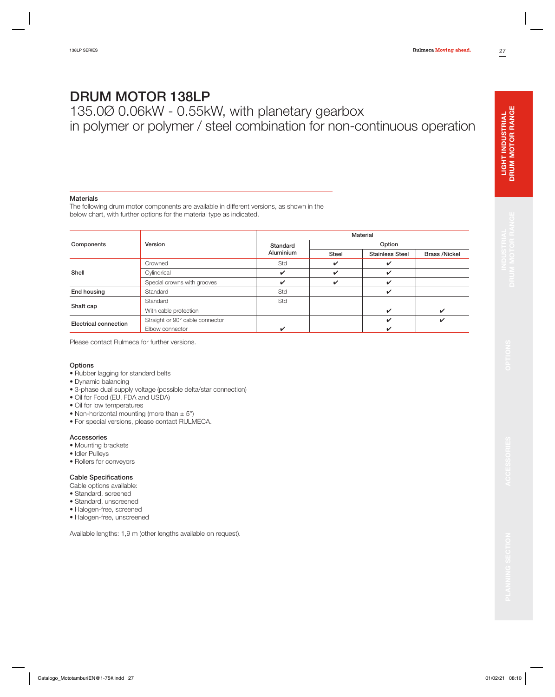135.0Ø 0.06kW - 0.55kW, with planetary gearbox in polymer or polymer / steel combination for non-continuous operation

### **Materials**

The following drum motor components are available in different versions, as shown in the below chart, with further options for the material type as indicated.

|                       |                                 |                  | Material     |                        |                      |  |  |  |  |  |  |
|-----------------------|---------------------------------|------------------|--------------|------------------------|----------------------|--|--|--|--|--|--|
| Components            | Version                         | Standard         | Option       |                        |                      |  |  |  |  |  |  |
|                       |                                 | <b>Aluminium</b> | <b>Steel</b> | <b>Stainless Steel</b> | <b>Brass /Nickel</b> |  |  |  |  |  |  |
|                       | Crowned                         | Std              | ✓            | ✓                      |                      |  |  |  |  |  |  |
| Shell                 | Cylindrical                     | V                | ✔            | ✓                      |                      |  |  |  |  |  |  |
|                       | Special crowns with grooves     | ✓                | ✓            | V                      |                      |  |  |  |  |  |  |
| End housing           | Standard                        | Std              |              | V                      |                      |  |  |  |  |  |  |
|                       | Standard                        | Std              |              |                        |                      |  |  |  |  |  |  |
| Shaft cap             | With cable protection           |                  |              | ✓                      | ັ                    |  |  |  |  |  |  |
| Electrical connection | Straight or 90° cable connector |                  |              | V                      | ✔                    |  |  |  |  |  |  |
|                       | Elbow connector                 | ✓                |              | ✔                      |                      |  |  |  |  |  |  |

Please contact Rulmeca for further versions.

### **Options**

- Rubber lagging for standard belts
- Dynamic balancing
- 3-phase dual supply voltage (possible delta/star connection)
- Oil for Food (EU, FDA and USDA)
- Oil for low temperatures
- Non-horizontal mounting (more than  $\pm$  5°)
- For special versions, please contact RULMECA.

## **Accessories**

- Mounting brackets
- Idler Pulleys
- Rollers for conveyors

### **Cable Specifications**

- Cable options available:
- Standard, screened
- Standard, unscreened
- Halogen-free, screened
- Halogen-free, unscreened

Available lengths: 1,9 m (other lengths available on request).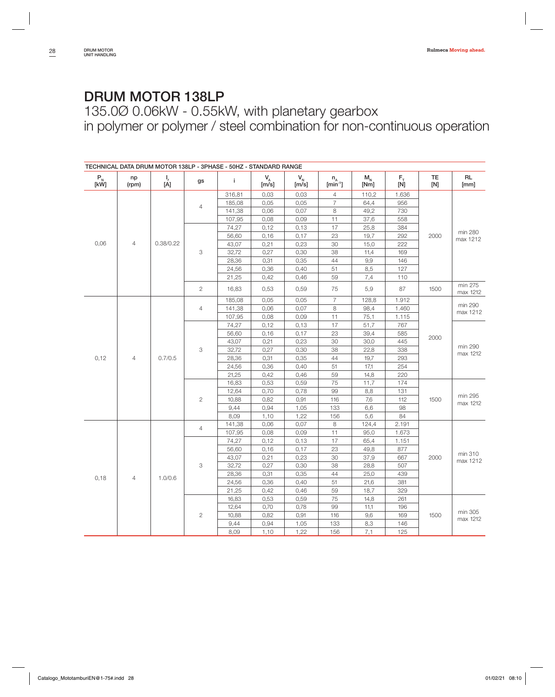135.0Ø 0.06kW - 0.55kW, with planetary gearbox in polymer or polymer / steel combination for non-continuous operation

|              | TECHNICAL DATA DRUM MOTOR 138LP - 3PHASE - 50HZ - STANDARD RANGE |                 |                |        |             |               |                            |                 |               |                  |                     |  |  |
|--------------|------------------------------------------------------------------|-----------------|----------------|--------|-------------|---------------|----------------------------|-----------------|---------------|------------------|---------------------|--|--|
| $P_{N}$ [kW] | np<br>(rpm)                                                      | $\frac{1}{[A]}$ | gs             | i.     | $V_A$ [m/s] | $V_{N}$ [m/s] | $n_A$ [min <sup>-1</sup> ] | $M_{N}$<br>[Nm] | $F_{\bar{N}}$ | <b>TE</b><br>[N] | <b>RL</b><br>[mm]   |  |  |
|              |                                                                  |                 |                | 316,81 | 0,03        | 0,03          | $\overline{4}$             | 110,2           | 1.636         |                  |                     |  |  |
|              |                                                                  |                 | $\overline{4}$ | 185,08 | 0,05        | 0,05          | $\overline{7}$             | 64,4            | 956           |                  |                     |  |  |
|              |                                                                  |                 |                | 141,38 | 0,06        | 0,07          | 8                          | 49,2            | 730           |                  |                     |  |  |
|              |                                                                  |                 |                | 107,95 | 0,08        | 0,09          | 11                         | 37,6            | 558           |                  |                     |  |  |
|              |                                                                  |                 |                | 74,27  | 0,12        | 0,13          | 17                         | 25,8            | 384           |                  |                     |  |  |
|              |                                                                  |                 |                | 56,60  | 0,16        | 0,17          | 23                         | 19,7            | 292           | 2000             | min 280<br>max 1212 |  |  |
| 0,06         | $\overline{4}$                                                   |                 | 0.38/0.22      |        | 43,07       | 0,21          | 0,23                       | 30              | 15,0          | 222              |                     |  |  |
|              |                                                                  |                 | 3              | 32,72  | 0,27        | 0,30          | 38                         | 11,4            | 169           |                  |                     |  |  |
|              |                                                                  |                 |                | 28,36  | 0,31        | 0,35          | 44                         | 9,9             | 146           |                  |                     |  |  |
|              |                                                                  |                 |                | 24,56  | 0,36        | 0,40          | 51                         | 8,5             | 127           |                  |                     |  |  |
|              |                                                                  |                 |                | 21,25  | 0,42        | 0,46          | 59                         | 7,4             | 110           |                  |                     |  |  |
|              |                                                                  |                 | $\overline{c}$ | 16,83  | 0,53        | 0,59          | 75                         | 5,9             | 87            | 1500             | min 275<br>max 1212 |  |  |
|              |                                                                  |                 |                | 185,08 | 0,05        | 0,05          | $\overline{7}$             | 128,8           | 1.912         |                  |                     |  |  |
|              |                                                                  |                 | $\overline{4}$ | 141,38 | 0,06        | 0,07          | 8                          | 98,4            | 1.460         |                  | min 290<br>max 1212 |  |  |
|              |                                                                  |                 |                | 107,95 | 0,08        | 0,09          | 11                         | 75,1            | 1.115         |                  |                     |  |  |
|              |                                                                  |                 | 74,27          | 0,12   | 0,13        | 17            | 51,7                       | 767             |               |                  |                     |  |  |
|              |                                                                  |                 | 56,60          | 0,16   | 0,17        | 23            | 39,4                       | 585             | 2000          |                  |                     |  |  |
|              |                                                                  |                 | 43,07          | 0,21   | 0,23        | 30            | 30,0                       | 445             |               |                  |                     |  |  |
|              |                                                                  |                 | 3              | 32,72  | 0,27        | 0,30          | 38                         | 22,8            | 338           |                  | min 290<br>max 1212 |  |  |
| 0,12         | $\overline{4}$                                                   | 0.7/0.5         |                | 28,36  | 0,31        | 0,35          | 44                         | 19,7            | 293           |                  |                     |  |  |
|              |                                                                  |                 |                | 24,56  | 0,36        | 0,40          | 51                         | 17,1            | 254           |                  |                     |  |  |
|              |                                                                  |                 |                | 21,25  | 0,42        | 0,46          | 59                         | 14,8            | 220           |                  |                     |  |  |
|              |                                                                  |                 |                | 16,83  | 0,53        | 0,59          | 75                         | 11,7            | 174           |                  |                     |  |  |
|              |                                                                  |                 |                | 12,64  | 0,70        | 0,78          | 99                         | 8,8             | 131           |                  |                     |  |  |
|              |                                                                  |                 | $\mathbf{2}$   | 10,88  | 0,82        | 0,91          | 116                        | 7,6             | 112           | 1500             | min 295<br>max 1212 |  |  |
|              |                                                                  |                 |                | 9,44   | 0,94        | 1,05          | 133                        | 6,6             | 98            |                  |                     |  |  |
|              |                                                                  |                 |                | 8,09   | 1,10        | 1,22          | 156                        | 5,6             | 84            |                  |                     |  |  |
|              |                                                                  |                 | $\overline{4}$ | 141,38 | 0,06        | 0,07          | 8                          | 124,4           | 2.191         |                  |                     |  |  |
|              |                                                                  |                 |                | 107,95 | 0,08        | 0,09          | 11                         | 95,0            | 1.673         |                  |                     |  |  |
|              |                                                                  |                 |                | 74,27  | 0,12        | 0,13          | 17                         | 65,4            | 1.151         |                  |                     |  |  |
|              |                                                                  |                 |                | 56,60  | 0,16        | 0,17          | 23                         | 49,8            | 877           |                  | min 310             |  |  |
|              |                                                                  |                 |                | 43,07  | 0,21        | 0,23          | 30                         | 37,9            | 667           | 2000             | max 1212            |  |  |
|              |                                                                  |                 | 3              | 32,72  | 0,27        | 0,30          | 38                         | 28,8            | 507           |                  |                     |  |  |
| 0,18         | $\overline{4}$                                                   | 1.0/0.6         |                | 28,36  | 0,31        | 0,35          | 44                         | 25,0            | 439           |                  |                     |  |  |
|              |                                                                  |                 |                | 24,56  | 0,36        | 0,40          | 51                         | 21,6            | 381           |                  |                     |  |  |
|              |                                                                  |                 |                | 21,25  | 0,42        | 0,46          | 59                         | 18,7            | 329           |                  |                     |  |  |
|              |                                                                  |                 |                | 16,83  | 0,53        | 0,59          | 75                         | 14,8            | 261           |                  |                     |  |  |
|              |                                                                  |                 |                | 12,64  | 0,70        | 0,78          | 99                         | 11,1            | 196           |                  | min 305<br>max 1212 |  |  |
|              |                                                                  |                 | $\overline{c}$ | 10,88  | 0,82        | 0,91          | 116                        | 9,6             | 169           | 1500             |                     |  |  |
|              |                                                                  |                 |                | 9,44   | 0,94        | 1,05          | 133                        | 8,3             | 146           |                  |                     |  |  |
|              |                                                                  |                 |                |        | 8,09        | 1,10          | 1,22                       | 156             | 7,1           | 125              |                     |  |  |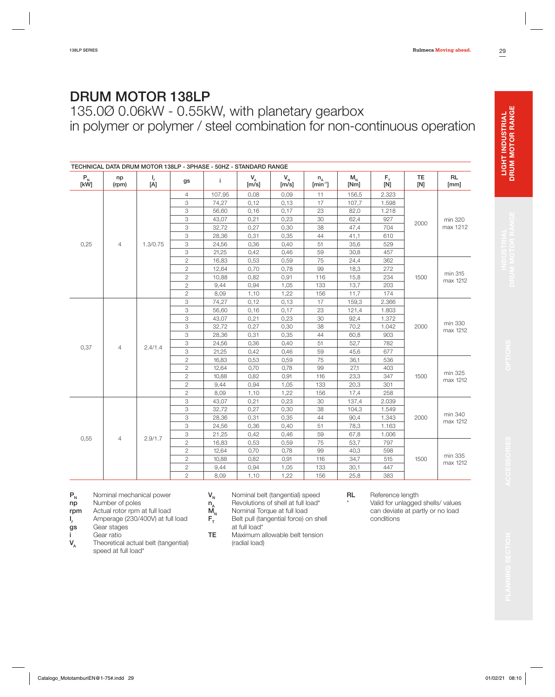135.0Ø 0.06kW - 0.55kW, with planetary gearbox in polymer or polymer / steel combination for non-continuous operation

|                                                                                       | TECHNICAL DATA DRUM MOTOR 138LP - 3PHASE - 50HZ - STANDARD RANGE |                 |                |                |               |                  |                         |                 |                |                  |                     |                     |     |  |  |
|---------------------------------------------------------------------------------------|------------------------------------------------------------------|-----------------|----------------|----------------|---------------|------------------|-------------------------|-----------------|----------------|------------------|---------------------|---------------------|-----|--|--|
| $\begin{array}{c} \mathsf{P}_{_{\!\!N}}\ \mathsf{[}\mathsf{kW}\mathsf{]} \end{array}$ | np<br>(rpm)                                                      | $\frac{1}{[A]}$ | gs             | j.             | $V_{A}$ [m/s] | $V_{N}$<br>[m/s] | $n_{A}$<br>$[min^{-1}]$ | $M_{N}$<br>[Nm] | $F_{T}$<br>[N] | <b>TE</b><br>[N] | <b>RL</b><br>[mm]   |                     |     |  |  |
|                                                                                       |                                                                  |                 | $\overline{4}$ | 107,95         | 0,08          | 0,09             | 11                      | 156,5           | 2.323          |                  |                     |                     |     |  |  |
|                                                                                       |                                                                  |                 | 3              | 74,27          | 0,12          | 0,13             | 17                      | 107,7           | 1.598          |                  |                     |                     |     |  |  |
|                                                                                       |                                                                  |                 | 3              | 56,60          | 0,16          | 0,17             | 23                      | 82,0            | 1.218          |                  |                     |                     |     |  |  |
|                                                                                       |                                                                  |                 | 3              | 43,07          | 0,21          | 0,23             | 30                      | 62,4            | 927            | 2000             | min 320             |                     |     |  |  |
|                                                                                       |                                                                  |                 | 3              | 32,72          | 0,27          | 0,30             | 38                      | 47,4            | 704            |                  | max 1212            |                     |     |  |  |
|                                                                                       |                                                                  |                 | 3              | 28,36          | 0,31          | 0,35             | 44                      | 41,1            | 610            |                  |                     |                     |     |  |  |
| 0,25                                                                                  | $\overline{4}$                                                   | 1.3/0.75        | 3              | 24,56          | 0,36          | 0,40             | 51                      | 35,6            | 529            |                  |                     |                     |     |  |  |
|                                                                                       |                                                                  |                 | 3              | 21,25          | 0,42          | 0,46             | 59                      | 30,8            | 457            |                  |                     |                     |     |  |  |
|                                                                                       |                                                                  |                 |                | $\mathbf{2}$   | 16,83         | 0,53             | 0,59                    | 75              | 24,4           | 362              |                     |                     |     |  |  |
|                                                                                       |                                                                  |                 | $\overline{c}$ | 12,64          | 0,70          | 0,78             | 99                      | 18,3            | 272            |                  |                     |                     |     |  |  |
|                                                                                       |                                                                  |                 |                | $\overline{c}$ | 10,88         | 0,82             | 0,91                    | 116             | 15,8           | 234              | 1500                | min 315<br>max 1212 |     |  |  |
|                                                                                       |                                                                  |                 |                | $\overline{c}$ | 9,44          | 0,94             | 1,05                    | 133             | 13,7           | 203              |                     |                     |     |  |  |
|                                                                                       |                                                                  |                 |                | $\overline{c}$ | 8,09          | 1,10             | 1,22                    | 156             | 11,7           | 174              |                     |                     |     |  |  |
|                                                                                       |                                                                  |                 | 3              | 74,27          | 0,12          | 0,13             | 17                      | 159,3           | 2.366          |                  |                     |                     |     |  |  |
|                                                                                       |                                                                  | 3               | 56,60          | 0,16           | 0,17          | 23               | 121,4                   | 1.803           |                |                  |                     |                     |     |  |  |
|                                                                                       |                                                                  |                 | 3              | 43,07          | 0,21          | 0,23             | 30                      | 92,4            | 1.372          |                  | min 330             |                     |     |  |  |
|                                                                                       |                                                                  |                 | 3              | 32,72          | 0,27          | 0,30             | 38                      | 70,2            | 1.042          | 2000             | max 1212            |                     |     |  |  |
|                                                                                       |                                                                  |                 | 3              | 28,36          | 0,31          | 0,35             | 44                      | 60,8            | 903            |                  |                     |                     |     |  |  |
| 0,37                                                                                  | $\overline{4}$                                                   | 2.4/1.4         | 3              | 24,56          | 0,36          | 0,40             | 51                      | 52,7            | 782            |                  |                     |                     |     |  |  |
|                                                                                       |                                                                  |                 | 3              | 21,25          | 0,42          | 0,46             | 59                      | 45,6            | 677            |                  |                     |                     |     |  |  |
|                                                                                       |                                                                  |                 | $\overline{c}$ | 16,83          | 0,53          | 0,59             | 75                      | 36,1            | 536            |                  |                     |                     |     |  |  |
|                                                                                       |                                                                  |                 | $\overline{c}$ | 12,64          | 0,70          | 0,78             | 99                      | 27,1            | 403            |                  |                     |                     |     |  |  |
|                                                                                       |                                                                  |                 | $\overline{c}$ | 10,88          | 0,82          | 0,91             | 116                     | 23,3            | 347            | 1500             | min 325<br>max 1212 |                     |     |  |  |
|                                                                                       |                                                                  |                 | $\overline{c}$ | 9,44           | 0,94          | 1,05             | 133                     | 20,3            | 301            |                  |                     |                     |     |  |  |
|                                                                                       |                                                                  |                 | $\overline{c}$ | 8,09           | 1,10          | 1,22             | 156                     | 17,4            | 258            |                  |                     |                     |     |  |  |
|                                                                                       |                                                                  |                 | 3              | 43,07          | 0,21          | 0,23             | 30                      | 137,4           | 2.039          |                  |                     |                     |     |  |  |
|                                                                                       |                                                                  |                 | 3              | 32,72          | 0,27          | 0,30             | 38                      | 104,3           | 1.549          |                  | min 340             |                     |     |  |  |
|                                                                                       |                                                                  |                 | 3              | 28,36          | 0,31          | 0,35             | 44                      | 90,4            | 1.343          | 2000             | max 1212            |                     |     |  |  |
|                                                                                       |                                                                  |                 | 3              | 24,56          | 0,36          | 0,40             | 51                      | 78,3            | 1.163          |                  |                     |                     |     |  |  |
| 0,55                                                                                  | $\overline{4}$                                                   | 2.9/1.7         | 3              | 21,25          | 0,42          | 0,46             | 59                      | 67,8            | 1.006          |                  |                     |                     |     |  |  |
|                                                                                       |                                                                  |                 | $\overline{c}$ | 16,83          | 0,53          | 0,59             | 75                      | 53,7            | 797            |                  |                     |                     |     |  |  |
|                                                                                       |                                                                  |                 | $\overline{c}$ | 12,64          | 0,70          | 0,78             | 99                      | 40,3            | 598            |                  |                     |                     |     |  |  |
|                                                                                       |                                                                  |                 | $\overline{c}$ | 10,88          | 0,82          | 0,91             | 116                     | 34,7            | 515            | 1500             | min 335<br>max 1212 |                     |     |  |  |
|                                                                                       |                                                                  |                 | $\mathbf{2}$   | 9,44           | 0,94          | 1,05             | 133                     | 30,1            | 447            |                  |                     |                     |     |  |  |
|                                                                                       |                                                                  |                 |                |                |               |                  | $\overline{c}$          | 8,09            | 1,10           | 1,22             | 156                 | 25,8                | 383 |  |  |

- **P<sub>N</sub>** Nominal mechanical power<br>**np** Number of poles
- **Number of poles**
- **rpm** Actual rotor rpm at full load
- **I**  $f_r$  Amperage (230/400V) at full load  $gs$  Gear stages
- Gear stages
- 
- **i** Gear ratio<br>**V**<sub>A</sub> Theoretica Theoretical actual belt (tangential) speed at full load\*
- $V_N$  Nominal belt (tangential) speed<br>  $n_A$  Revolutions of shell at full load\*<br>  $M_N$  Nominal Torque at full load
	- Revolutions of shell at full load\*
- $\mathsf{M}_{\mathsf{N}}$  Nominal Torque at full load<br> $\mathsf{F}_{\mathsf{T}}$  Belt pull (tangential force) c **Belt pull (tangential force) on shell**
- at full load\* **TE** Maximum allowable belt tension (radial load)
- 
- **RL** Reference length Valid for unlagged shells/ values
	- can deviate at partly or no load conditions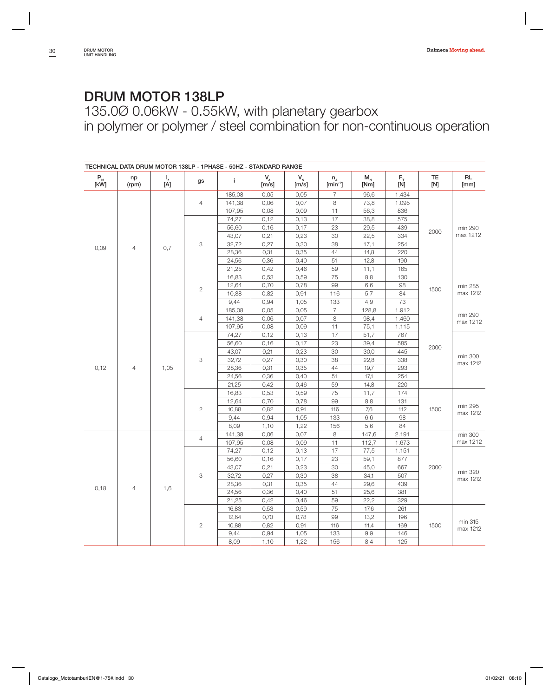135.0Ø 0.06kW - 0.55kW, with planetary gearbox in polymer or polymer / steel combination for non-continuous operation

|                                                                                                          | TECHNICAL DATA DRUM MOTOR 138LP - 1PHASE - 50HZ - STANDARD RANGE |                 |                |        |               |                                    |                            |                                    |               |                  |                     |  |  |  |  |  |  |      |      |      |     |     |     |  |  |
|----------------------------------------------------------------------------------------------------------|------------------------------------------------------------------|-----------------|----------------|--------|---------------|------------------------------------|----------------------------|------------------------------------|---------------|------------------|---------------------|--|--|--|--|--|--|------|------|------|-----|-----|-----|--|--|
| $\begin{array}{c} \mathsf{P}_{_{\!\!\mathsf{N}}} \ \mathsf{[}\mathsf{k}\mathsf{W}\mathsf{]} \end{array}$ | np<br>(rpm)                                                      | $\frac{1}{[A]}$ | gs             | j.     | $V_{A}$ [m/s] | $\mathsf{V}_{_{\mathsf{N}}}$ [m/s] | $n_A$ [min <sup>-1</sup> ] | $\mathsf{M}_{_\mathsf{N}}$<br>[Nm] | $F_{\bar{N}}$ | <b>TE</b><br>[N] | <b>RL</b><br>[mm]   |  |  |  |  |  |  |      |      |      |     |     |     |  |  |
|                                                                                                          |                                                                  |                 |                | 185,08 | 0,05          | 0,05                               | $\overline{7}$             | 96,6                               | 1.434         |                  |                     |  |  |  |  |  |  |      |      |      |     |     |     |  |  |
|                                                                                                          |                                                                  |                 | $\overline{4}$ | 141,38 | 0,06          | 0,07                               | 8                          | 73,8                               | 1.095         |                  |                     |  |  |  |  |  |  |      |      |      |     |     |     |  |  |
|                                                                                                          |                                                                  |                 |                | 107,95 | 0,08          | 0,09                               | 11                         | 56,3                               | 836           |                  |                     |  |  |  |  |  |  |      |      |      |     |     |     |  |  |
|                                                                                                          |                                                                  |                 |                | 74,27  | 0,12          | 0,13                               | 17                         | 38,8                               | 575           |                  |                     |  |  |  |  |  |  |      |      |      |     |     |     |  |  |
|                                                                                                          |                                                                  |                 |                | 56,60  | 0,16          | 0,17                               | 23                         | 29,5                               | 439           | 2000             | min 290             |  |  |  |  |  |  |      |      |      |     |     |     |  |  |
|                                                                                                          |                                                                  |                 |                | 43,07  | 0,21          | 0,23                               | 30                         | 22,5                               | 334           |                  | max 1212            |  |  |  |  |  |  |      |      |      |     |     |     |  |  |
| 0,09                                                                                                     | $\overline{4}$                                                   | 0,7             | 3              | 32,72  | 0,27          | 0,30                               | 38                         | 17,1                               | 254           |                  |                     |  |  |  |  |  |  |      |      |      |     |     |     |  |  |
|                                                                                                          |                                                                  |                 |                | 28,36  | 0,31          | 0,35                               | 44                         | 14,8                               | 220           |                  |                     |  |  |  |  |  |  |      |      |      |     |     |     |  |  |
|                                                                                                          |                                                                  |                 |                | 24,56  | 0,36          | 0,40                               | 51                         | 12,8                               | 190           |                  |                     |  |  |  |  |  |  |      |      |      |     |     |     |  |  |
|                                                                                                          |                                                                  |                 | 21,25          | 0,42   | 0,46          | 59                                 | 11,1                       | 165                                |               |                  |                     |  |  |  |  |  |  |      |      |      |     |     |     |  |  |
|                                                                                                          |                                                                  |                 |                | 16,83  | 0,53          | 0,59                               | 75                         | 8,8                                | 130           |                  |                     |  |  |  |  |  |  |      |      |      |     |     |     |  |  |
|                                                                                                          |                                                                  |                 | $\overline{c}$ | 12,64  | 0,70          | 0,78                               | 99                         | 6,6                                | 98            | 1500             | min 285             |  |  |  |  |  |  |      |      |      |     |     |     |  |  |
|                                                                                                          |                                                                  |                 |                | 10,88  | 0,82          | 0,91                               | 116                        | 5,7                                | 84            |                  | max 1212            |  |  |  |  |  |  |      |      |      |     |     |     |  |  |
|                                                                                                          |                                                                  |                 |                | 9,44   | 0,94          | 1,05                               | 133                        | 4,9                                | 73            |                  |                     |  |  |  |  |  |  |      |      |      |     |     |     |  |  |
|                                                                                                          |                                                                  |                 |                | 185,08 | 0,05          | 0,05                               | $\overline{7}$             | 128,8                              | 1.912         |                  |                     |  |  |  |  |  |  |      |      |      |     |     |     |  |  |
|                                                                                                          |                                                                  |                 | $\overline{4}$ | 141,38 | 0,06          | 0,07                               | 8                          | 98,4                               | 1.460         |                  | min 290<br>max 1212 |  |  |  |  |  |  |      |      |      |     |     |     |  |  |
|                                                                                                          |                                                                  |                 |                |        | 107,95        | 0,08                               | 0,09                       | 11                                 | 75,1          | 1.115            |                     |  |  |  |  |  |  |      |      |      |     |     |     |  |  |
|                                                                                                          |                                                                  |                 | 74,27          | 0,12   | 0,13          | 17                                 | 51,7                       | 767                                |               |                  |                     |  |  |  |  |  |  |      |      |      |     |     |     |  |  |
|                                                                                                          |                                                                  |                 |                | 56,60  | 0,16          | 0,17                               | 23                         | 39,4                               | 585           | 2000             |                     |  |  |  |  |  |  |      |      |      |     |     |     |  |  |
|                                                                                                          |                                                                  |                 |                | 43,07  | 0,21          | 0,23                               | 30                         | 30,0                               | 445           |                  | min 300             |  |  |  |  |  |  |      |      |      |     |     |     |  |  |
|                                                                                                          |                                                                  |                 | 3              | 32,72  | 0,27          | 0,30                               | 38                         | 22,8                               | 338           |                  | max 1212            |  |  |  |  |  |  |      |      |      |     |     |     |  |  |
| 0,12                                                                                                     | $\overline{4}$                                                   | 1,05            |                |        | 28,36         | 0,31                               | 0,35                       | 44                                 | 19,7          | 293              |                     |  |  |  |  |  |  |      |      |      |     |     |     |  |  |
|                                                                                                          |                                                                  |                 |                |        |               | 24,56                              | 0,36                       | 0,40                               | 51            | 17,1             | 254                 |  |  |  |  |  |  |      |      |      |     |     |     |  |  |
|                                                                                                          |                                                                  |                 |                | 21,25  | 0,42          | 0,46                               | 59                         | 14,8                               | 220           |                  |                     |  |  |  |  |  |  |      |      |      |     |     |     |  |  |
|                                                                                                          |                                                                  |                 |                | 16,83  | 0,53          | 0,59                               | 75                         | 11,7                               | 174           |                  |                     |  |  |  |  |  |  |      |      |      |     |     |     |  |  |
|                                                                                                          |                                                                  |                 |                | 12,64  | 0,70          | 0,78                               | 99                         | 8,8                                | 131           |                  | min 295             |  |  |  |  |  |  |      |      |      |     |     |     |  |  |
|                                                                                                          |                                                                  |                 | $\mathbf{2}$   | 10,88  | 0,82          | 0,91                               | 116                        | 7,6                                | 112           | 1500             |                     |  |  |  |  |  |  |      |      |      |     |     |     |  |  |
|                                                                                                          |                                                                  |                 |                | 9,44   | 0,94          | 1,05                               | 133                        | 6,6                                | 98            |                  | max 1212            |  |  |  |  |  |  |      |      |      |     |     |     |  |  |
|                                                                                                          |                                                                  |                 |                | 8,09   | 1,10          | 1,22                               | 156                        | 5,6                                | 84            |                  |                     |  |  |  |  |  |  |      |      |      |     |     |     |  |  |
|                                                                                                          |                                                                  |                 | $\overline{4}$ | 141,38 | 0,06          | 0,07                               | 8                          | 147,6                              | 2.191         |                  | min 300             |  |  |  |  |  |  |      |      |      |     |     |     |  |  |
|                                                                                                          |                                                                  |                 |                | 107,95 | 0,08          | 0,09                               | 11                         | 112,7                              | 1.673         |                  | max 1212            |  |  |  |  |  |  |      |      |      |     |     |     |  |  |
|                                                                                                          |                                                                  |                 |                | 74,27  | 0,12          | 0,13                               | 17                         | 77,5                               | 1.151         |                  |                     |  |  |  |  |  |  |      |      |      |     |     |     |  |  |
|                                                                                                          |                                                                  |                 |                | 56,60  | 0,16          | 0,17                               | 23                         | 59,1                               | 877           |                  |                     |  |  |  |  |  |  |      |      |      |     |     |     |  |  |
|                                                                                                          |                                                                  |                 |                | 43,07  | 0,21          | 0,23                               | 30                         | 45,0                               | 667           | 2000             |                     |  |  |  |  |  |  |      |      |      |     |     |     |  |  |
|                                                                                                          |                                                                  |                 | 3              | 32,72  | 0,27          | 0,30                               | 38                         | 34,1                               | 507           |                  | min 320<br>max 1212 |  |  |  |  |  |  |      |      |      |     |     |     |  |  |
|                                                                                                          | $\overline{4}$                                                   |                 |                | 28,36  | 0,31          | 0,35                               | 44                         | 29,6                               | 439           |                  |                     |  |  |  |  |  |  |      |      |      |     |     |     |  |  |
| 0,18                                                                                                     |                                                                  | 1,6             |                | 24,56  | 0,36          | 0,40                               | 51                         | 25,6                               | 381           |                  |                     |  |  |  |  |  |  |      |      |      |     |     |     |  |  |
|                                                                                                          |                                                                  |                 |                | 21,25  | 0,42          | 0,46                               | 59                         | 22,2                               | 329           |                  |                     |  |  |  |  |  |  |      |      |      |     |     |     |  |  |
|                                                                                                          |                                                                  |                 |                | 16,83  | 0,53          | 0,59                               | 75                         | 17,6                               | 261           |                  |                     |  |  |  |  |  |  |      |      |      |     |     |     |  |  |
|                                                                                                          |                                                                  |                 |                | 12,64  | 0,70          | 0,78                               | 99                         | 13,2                               | 196           |                  | min 315<br>max 1212 |  |  |  |  |  |  |      |      |      |     |     |     |  |  |
|                                                                                                          |                                                                  |                 | $\overline{2}$ | 10,88  | 0,82          | 0,91                               | 116                        | 11,4                               | 169           | 1500             |                     |  |  |  |  |  |  |      |      |      |     |     |     |  |  |
|                                                                                                          |                                                                  |                 |                | 9,44   | 0,94          | 1,05                               | 133                        | 9,9                                | 146           |                  |                     |  |  |  |  |  |  |      |      |      |     |     |     |  |  |
|                                                                                                          |                                                                  |                 |                |        |               |                                    |                            |                                    |               |                  |                     |  |  |  |  |  |  | 8,09 | 1,10 | 1,22 | 156 | 8.4 | 125 |  |  |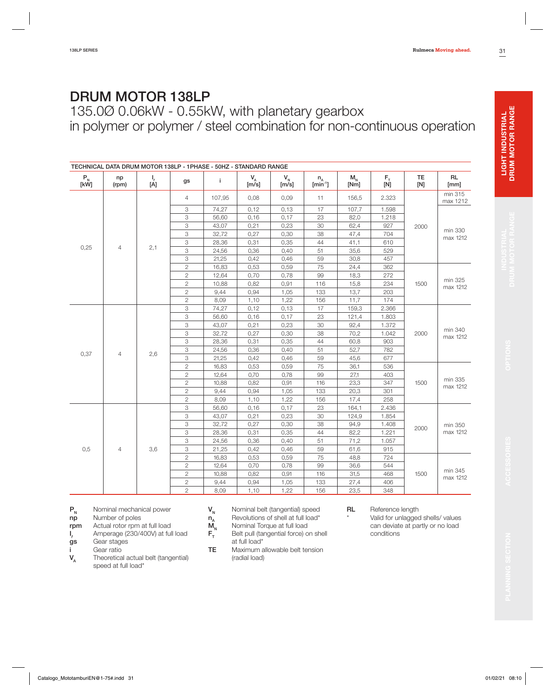# **LIGHT INDUSTRIAL<br>DRUM MOTOR RANGE**

| <b>DRUM MOTOR 138LP</b> |  |  |  |  |
|-------------------------|--|--|--|--|
|-------------------------|--|--|--|--|

135.0Ø 0.06kW - 0.55kW, with planetary gearbox in polymer or polymer / steel combination for non-continuous operation

|              | TECHNICAL DATA DRUM MOTOR 138LP - 1PHASE - 50HZ - STANDARD RANGE |                |                |              |                        |                  |                                   |                 |                   |                  |                     |                     |  |
|--------------|------------------------------------------------------------------|----------------|----------------|--------------|------------------------|------------------|-----------------------------------|-----------------|-------------------|------------------|---------------------|---------------------|--|
| $P_{N}$ [kW] | np<br>(rpm)                                                      | $I_{f}$<br>[Á] | gs             | j.           | $V_{\Lambda}$<br>[m/s] | $V_{N}$<br>[m/s] | ${\sf n}_{\sf A}$<br>$[min^{-1}]$ | $M_{N}$<br>[Nm] | $F_{\tau}$<br>[N] | <b>TE</b><br>[N] | <b>RL</b><br>[mm]   |                     |  |
|              |                                                                  |                | $\overline{4}$ | 107,95       | 0,08                   | 0,09             | 11                                | 156,5           | 2.323             |                  | min 315<br>max 1212 |                     |  |
|              |                                                                  |                | 3              | 74.27        | 0,12                   | 0,13             | 17                                | 107,7           | 1.598             |                  |                     |                     |  |
|              |                                                                  |                | 3              | 56,60        | 0,16                   | 0,17             | 23                                | 82,0            | 1.218             |                  |                     |                     |  |
|              |                                                                  |                | 3              | 43,07        | 0,21                   | 0,23             | 30                                | 62,4            | 927               | 2000             |                     |                     |  |
|              |                                                                  |                | 3              | 32,72        | 0,27                   | 0,30             | 38                                | 47,4            | 704               |                  | min 330<br>max 1212 |                     |  |
|              |                                                                  |                | 3              | 28,36        | 0,31                   | 0,35             | 44                                | 41,1            | 610               |                  |                     |                     |  |
| 0,25         | $\overline{4}$                                                   | 2,1            | 3              | 24,56        | 0,36                   | 0,40             | 51                                | 35,6            | 529               |                  |                     |                     |  |
|              |                                                                  | 3              | 21,25          | 0,42         | 0,46                   | 59               | 30,8                              | 457             |                   |                  |                     |                     |  |
|              |                                                                  |                | $\mathbf{2}$   | 16,83        | 0,53                   | 0,59             | 75                                | 24,4            | 362               |                  |                     |                     |  |
|              |                                                                  |                | $\mathbf{2}$   | 12,64        | 0,70                   | 0,78             | 99                                | 18,3            | 272               |                  |                     |                     |  |
|              |                                                                  |                |                | $\mathbf{2}$ | 10,88                  | 0,82             | 0.91                              | 116             | 15,8              | 234              | 1500                | min 325<br>max 1212 |  |
|              |                                                                  |                | $\overline{c}$ | 9,44         | 0,94                   | 1,05             | 133                               | 13,7            | 203               |                  |                     |                     |  |
|              |                                                                  | $\overline{c}$ | 8,09           | 1,10         | 1,22                   | 156              | 11,7                              | 174             |                   |                  |                     |                     |  |
|              |                                                                  |                | 3              | 74,27        | 0,12                   | 0,13             | 17                                | 159,3           | 2.366             |                  |                     |                     |  |
|              |                                                                  | 3              | 56,60          | 0,16         | 0,17                   | 23               | 121,4                             | 1.803           |                   |                  |                     |                     |  |
|              |                                                                  |                | 3              | 43,07        | 0,21                   | 0,23             | 30                                | 92,4            | 1.372             |                  |                     |                     |  |
|              |                                                                  |                | 3              | 32,72        | 0,27                   | 0,30             | 38                                | 70,2            | 1.042             | 2000             | min 340<br>max 1212 |                     |  |
|              |                                                                  |                | 3              | 28,36        | 0,31                   | 0,35             | 44                                | 60,8            | 903               |                  |                     |                     |  |
| 0,37         | $\overline{4}$                                                   | 2,6            | 3              | 24,56        | 0,36                   | 0,40             | 51                                | 52,7            | 782               |                  |                     |                     |  |
|              |                                                                  |                | 3              | 21,25        | 0,42                   | 0,46             | 59                                | 45,6            | 677               |                  |                     |                     |  |
|              |                                                                  |                | $\sqrt{2}$     | 16,83        | 0,53                   | 0,59             | 75                                | 36,1            | 536               |                  |                     |                     |  |
|              |                                                                  |                | $\mathbf{2}$   | 12,64        | 0,70                   | 0,78             | 99                                | 27,1            | 403               |                  |                     |                     |  |
|              |                                                                  |                | $\mathbf{2}$   | 10,88        | 0,82                   | 0,91             | 116                               | 23,3            | 347               | 1500             | min 335<br>max 1212 |                     |  |
|              |                                                                  |                | $\mathbf{2}$   | 9,44         | 0,94                   | 1,05             | 133                               | 20,3            | 301               |                  |                     |                     |  |
|              |                                                                  |                | $\mathbf{2}$   | 8,09         | 1,10                   | 1,22             | 156                               | 17,4            | 258               |                  |                     |                     |  |
|              |                                                                  |                | 3              | 56,60        | 0,16                   | 0,17             | 23                                | 164,1           | 2.436             |                  |                     |                     |  |
|              |                                                                  |                | 3              | 43,07        | 0,21                   | 0,23             | 30                                | 124,9           | 1.854             |                  |                     |                     |  |
|              |                                                                  |                | 3              | 32,72        | 0,27                   | 0,30             | 38                                | 94,9            | 1.408             | 2000             | min 350             |                     |  |
|              |                                                                  |                | 3              | 28,36        | 0,31                   | 0,35             | 44                                | 82,2            | 1.221             |                  | max 1212            |                     |  |
|              |                                                                  |                | 3              | 24,56        | 0,36                   | 0,40             | 51                                | 71,2            | 1.057             |                  |                     |                     |  |
| 0,5          | $\overline{4}$                                                   | 3,6            | 3              | 21,25        | 0,42                   | 0,46             | 59                                | 61,6            | 915               |                  |                     |                     |  |
|              |                                                                  |                | $\mathbf{2}$   | 16,83        | 0,53                   | 0,59             | 75                                | 48,8            | 724               |                  |                     |                     |  |
|              |                                                                  |                | $\overline{c}$ | 12,64        | 0,70                   | 0,78             | 99                                | 36,6            | 544               |                  |                     |                     |  |
|              |                                                                  |                | $\mathbf{2}$   | 10,88        | 0,82                   | 0,91             | 116                               | 31,5            | 468               | 1500             | min 345<br>max 1212 |                     |  |
|              |                                                                  |                | $\mathbf{2}$   | 9,44         | 0,94                   | 1,05             | 133                               | 27,4            | 406               |                  |                     |                     |  |
|              |                                                                  |                | $\overline{2}$ | 8,09         | 1,10                   | 1,22             | 156                               | 23,5            | 348               |                  |                     |                     |  |

**P<sub>N</sub>** Nominal mechanical power<br>**np** Number of poles

**Number of poles** 

**rpm** Actual rotor rpm at full load

- **I** *f<sub>f</sub>* Amperage (230/400V) at full load **gs** Gear stages
- Gear stages
- **i** Gear ratio<br> **V**<sub>A</sub> Theoretica Theoretical actual belt (tangential)
	- speed at full load\*
- $V_N$  **Nominal belt (tangential) speed**<br> **n**<sub>A</sub> Revolutions of shell at full load\*<br> **M**<sub>N</sub> Nominal Torque at full load
- Revolutions of shell at full load\*
- $\mathbf{M}_{\mathsf{N}}$  Nominal Torque at full load<br> $\mathbf{F}_{\mathsf{T}}$  Belt pull (tangential force) o
	- **Belt pull (tangential force) on shell** at full load\*
- **TE** Maximum allowable belt tension (radial load)
- **RL** Reference length
	- Valid for unlagged shells/ values can deviate at partly or no load conditions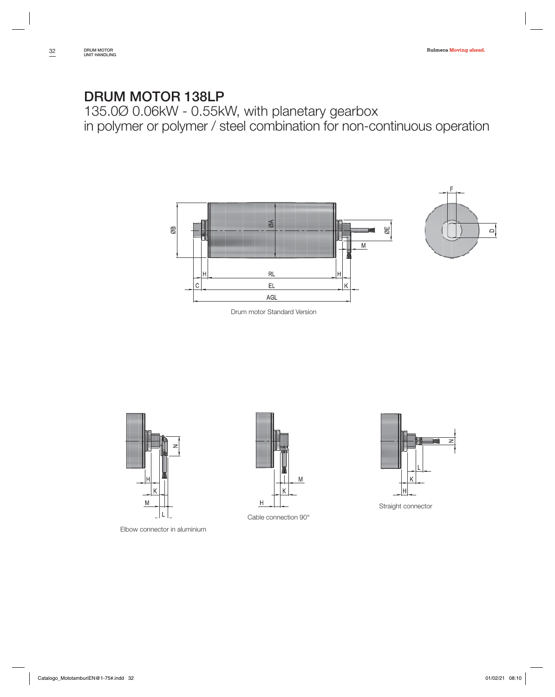135.0Ø 0.06kW - 0.55kW, with planetary gearbox in polymer or polymer / steel combination for non-continuous operation









Elbow connector in aluminium



Cable connection 90°



Straight connector